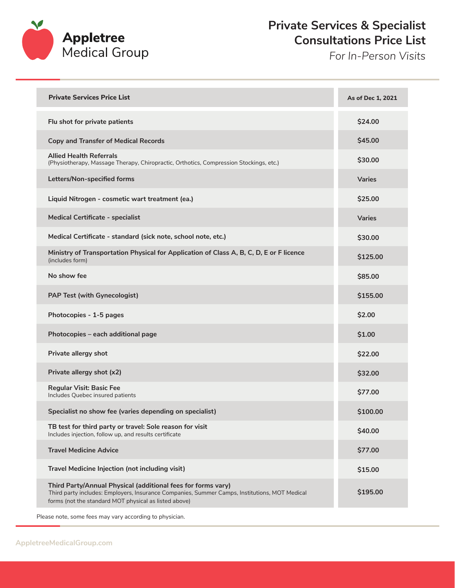

## **Private Services & Specialist Consultations Price List**

*For In-Person Visits*

| <b>Private Services Price List</b>                                                                                                                                                                                     | As of Dec 1, 2021 |
|------------------------------------------------------------------------------------------------------------------------------------------------------------------------------------------------------------------------|-------------------|
| Flu shot for private patients                                                                                                                                                                                          | \$24.00           |
| <b>Copy and Transfer of Medical Records</b>                                                                                                                                                                            | \$45.00           |
| <b>Allied Health Referrals</b><br>(Physiotherapy, Massage Therapy, Chiropractic, Orthotics, Compression Stockings, etc.)                                                                                               | \$30.00           |
| Letters/Non-specified forms                                                                                                                                                                                            | <b>Varies</b>     |
| Liquid Nitrogen - cosmetic wart treatment (ea.)                                                                                                                                                                        | \$25.00           |
| Medical Certificate - specialist                                                                                                                                                                                       | <b>Varies</b>     |
| Medical Certificate - standard (sick note, school note, etc.)                                                                                                                                                          | \$30.00           |
| Ministry of Transportation Physical for Application of Class A, B, C, D, E or F licence<br>(includes form)                                                                                                             | \$125.00          |
| No show fee                                                                                                                                                                                                            | \$85.00           |
| PAP Test (with Gynecologist)                                                                                                                                                                                           | \$155.00          |
| Photocopies - 1-5 pages                                                                                                                                                                                                | \$2.00            |
| Photocopies - each additional page                                                                                                                                                                                     | \$1.00            |
| Private allergy shot                                                                                                                                                                                                   | \$22.00           |
| Private allergy shot (x2)                                                                                                                                                                                              | \$32.00           |
| <b>Regular Visit: Basic Fee</b><br>Includes Quebec insured patients                                                                                                                                                    | \$77.00           |
| Specialist no show fee (varies depending on specialist)                                                                                                                                                                | \$100.00          |
| TB test for third party or travel: Sole reason for visit<br>Includes injection, follow up, and results certificate                                                                                                     | \$40.00           |
| <b>Travel Medicine Advice</b>                                                                                                                                                                                          | \$77.00           |
| Travel Medicine Injection (not including visit)                                                                                                                                                                        | \$15.00           |
| Third Party/Annual Physical (additional fees for forms vary)<br>Third party includes: Employers, Insurance Companies, Summer Camps, Institutions, MOT Medical<br>forms (not the standard MOT physical as listed above) | \$195.00          |

Please note, some fees may vary according to physician.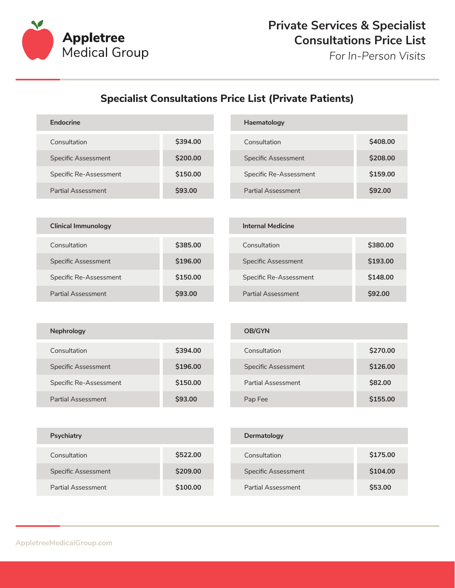

*For In-Person Visits*

## **Specialist Consultations Price List (Private Patients)**

| Endocrine              |          | Haematology                |          |
|------------------------|----------|----------------------------|----------|
| Consultation           | \$394.00 | Consultation               | \$408.00 |
| Specific Assessment    | \$200,00 | <b>Specific Assessment</b> | \$208,00 |
| Specific Re-Assessment | \$150.00 | Specific Re-Assessment     | \$159,00 |
| Partial Assessment     | \$93,00  | Partial Assessment         | \$92,00  |

| <b>Clinical Immunology</b> |                |
|----------------------------|----------------|
| Consultation               | \$385.00       |
| <b>Specific Assessment</b> | \$196.00       |
| Specific Re-Assessment     | \$150,00       |
| Partial Assessment         | <b>\$93.00</b> |

| <b>Internal Medicine</b>   |                |
|----------------------------|----------------|
| Consultation               | \$380,00       |
| <b>Specific Assessment</b> | \$193.00       |
| Specific Re-Assessment     | \$148.00       |
| Partial Assessment         | <b>\$92.00</b> |

| <b>Nephrology</b>          |          |  |
|----------------------------|----------|--|
| Consultation               | \$394.00 |  |
| <b>Specific Assessment</b> | \$196.00 |  |
| Specific Re-Assessment     | \$150.00 |  |
| <b>Partial Assessment</b>  | \$93.00  |  |

| <b>OB/GYN</b>              |          |
|----------------------------|----------|
| Consultation               | \$270.00 |
| <b>Specific Assessment</b> | \$126.00 |
| Partial Assessment         | \$82.00  |
| Pap Fee                    | \$155.00 |

| Psychiatry          |          | Dermatolog          |
|---------------------|----------|---------------------|
| Consultation        | \$522.00 | Consultation        |
| Specific Assessment | \$209.00 | <b>Specific Ass</b> |
| Partial Assessment  | \$100.00 | <b>Partial Asse</b> |

| Dermatology         |          |
|---------------------|----------|
| Consultation        | \$175.00 |
| Specific Assessment | \$104.00 |
| Partial Assessment  | \$53,00  |